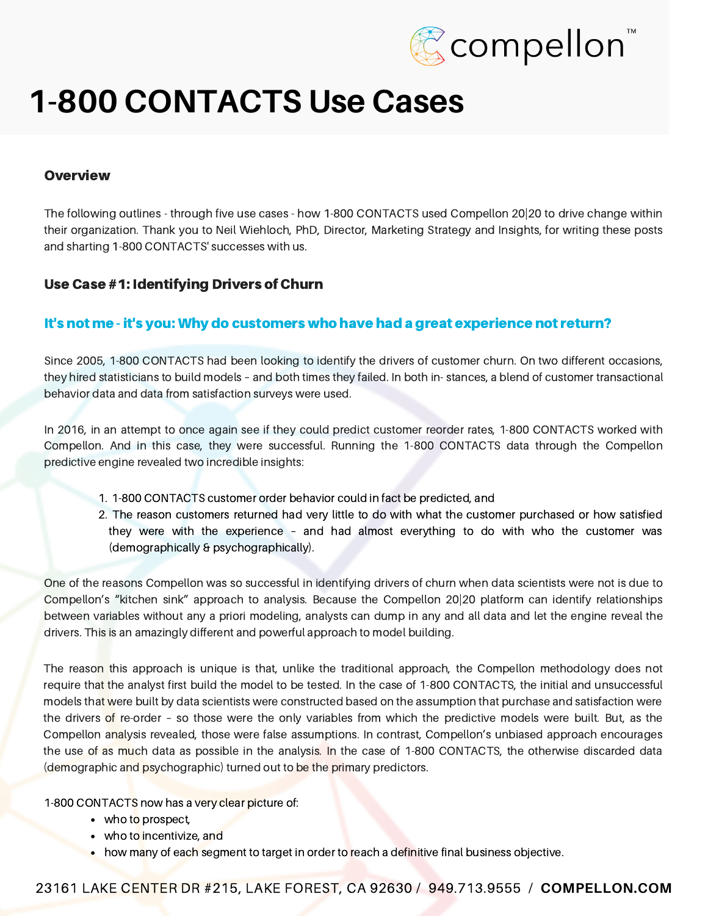

#### **Overview**

The following outlines - through five use cases - how 1-800 CONTACTS used Compellon 20|20 to drive change within their organization. Thank you to Neil Wiehloch, PhD, Director, Marketing Strategy and Insights, for writing these posts and sharting 1-800 CONTACTS' successes with us.

### Use Case #1: Identifying Drivers of Churn

### It's not me - it's you: Why do customers who have had a great experience not return?

Since 2005, 1-800 CONTACTS had been looking to identify the drivers of customer churn. On two different occasions, they hired statisticians to build models – and both times they failed. In both in- stances, a blend of customer transactional behavior data and data from satisfaction surveys were used.

In 2016, in an attempt to once again see if they could predict customer reorder rates, 1-800 CONTACTS worked with Compellon. And in this case, they were successful. Running the 1-800 CONTACTS data through the Compellon predictive engine revealed two incredible insights:

- 1. 1-800 CONTACTS customer order behavior could in fact be predicted, and
- 2. The reason customers returned had very little to do with what the customer purchased or how satisfied they were with the experience – and had almost everything to do with who the customer was (demographically & psychographically).

One of the reasons Compellon was so successful in identifying drivers of churn when data scientists were not is due to Compellon's "kitchen sink" approach to analysis. Because the Compellon 20|20 platform can identify relationships between variables without any a priori modeling, analysts can dump in any and all data and let the engine reveal the drivers. This is an amazingly different and powerful approach to model building.

The reason this approach is unique is that, unlike the traditional approach, the Compellon methodology does not require that the analyst first build the model to be tested. In the case of 1-800 CONTACTS, the initial and unsuccessful models that were built by data scientists were constructed based on the assumption that purchase and satisfaction were the drivers of re-order – so those were the only variables from which the predictive models were built. But, as the Compellon analysis revealed, those were false assumptions. In contrast, Compellon's unbiased approach encourages the use of as much data as possible in the analysis. In the case of 1-800 CONTACTS, the otherwise discarded data (demographic and psychographic) turned out to be the primary predictors.

1-800 CONTACTS now has a very clear picture of:

- who to prospect,
- who to incentivize, and
- how many of each segment to target in order to reach a definitive final business objective.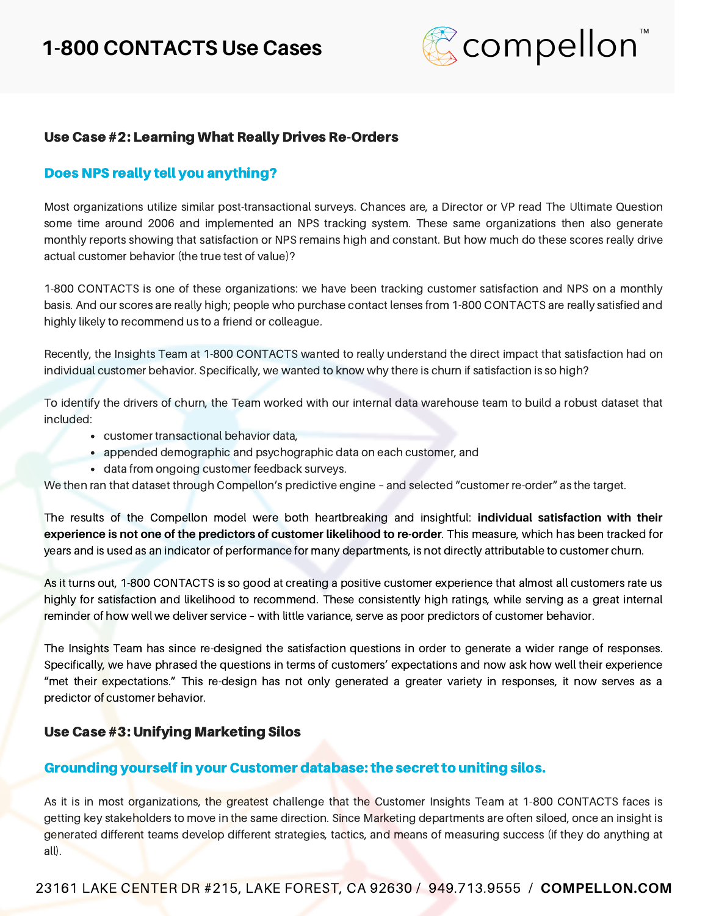

# Use Case #2: Learning What Really Drives Re-Orders

### Does NPS really tell you anything?

Most organizations utilize similar post-transactional surveys. Chances are, a Director or VP read The Ultimate Question some time around 2006 and implemented an NPS tracking system. These same organizations then also generate monthly reports showing that satisfaction or NPS remains high and constant. But how much do these scores really drive actual customer behavior (the true test of value)?

1-800 CONTACTS is one of these organizations: we have been tracking customer satisfaction and NPS on a monthly basis. And our scores are really high; people who purchase contact lenses from 1-800 CONTACTS are really satisfied and highly likely to recommend us to a friend or colleague.

Recently, the Insights Team at 1-800 CONTACTS wanted to really understand the direct impact that satisfaction had on individual customer behavior. Specifically, we wanted to know why there is churn if satisfaction is so high?

To identify the drivers of churn, the Team worked with our internal data warehouse team to build a robust dataset that included:

- customer transactional behavior data,
- appended demographic and psychographic data on each customer, and
- data from ongoing customer feedback surveys.

We then ran that dataset through Compellon's predictive engine – and selected "customer re-order" as the target.

The results of the Compellon model were both heartbreaking and insightful: **individual satisfaction with their experience is not one of the predictors of customer likelihood to re-order**. This measure, which has been tracked for years and is used as an indicator of performance for many departments, is not directly attributable to customer churn.

As it turns out, 1-800 CONTACTS is so good at creating a positive customer experience that almost all customers rate us highly for satisfaction and likelihood to recommend. These consistently high ratings, while serving as a great internal reminder of how well we deliver service – with little variance, serve as poor predictors of customer behavior.

The Insights Team has since re-designed the satisfaction questions in order to generate a wider range of responses. Specifically, we have phrased the questions in terms of customers' expectations and now ask how well their experience "met their expectations." This re-design has not only generated a greater variety in responses, it now serves as a predictor of customer behavior.

#### Use Case #3: Unifying Marketing Silos

#### Grounding yourself in your Customer database: the secret to uniting silos.

As it is in most organizations, the greatest challenge that the Customer Insights Team at 1-800 CONTACTS faces is getting key stakeholders to move in the same direction. Since Marketing departments are often siloed, once an insight is generated different teams develop different strategies, tactics, and means of measuring success (if they do anything at all).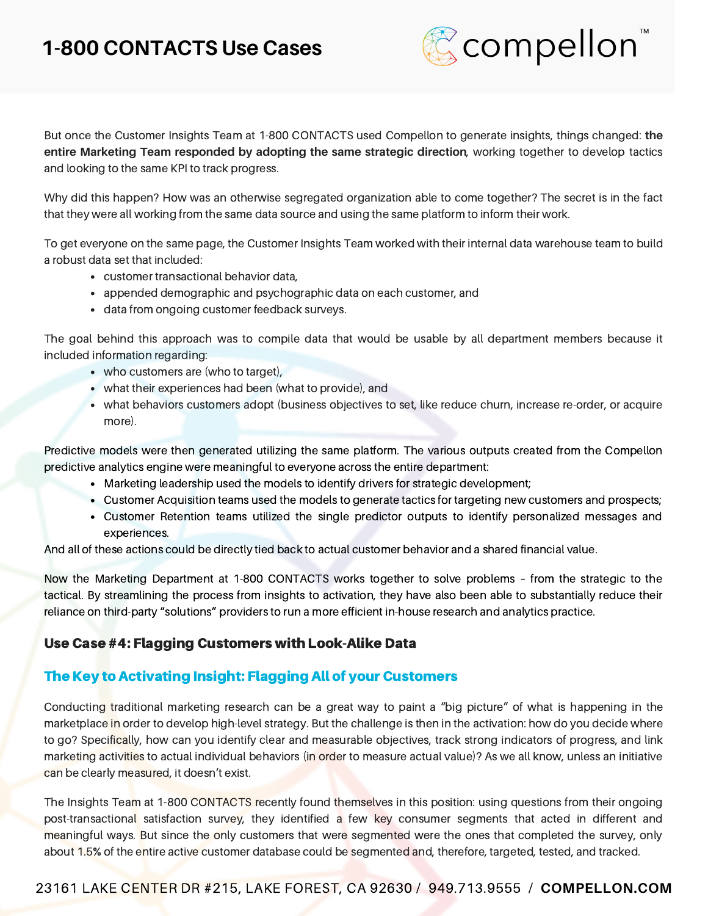

But once the Customer Insights Team at 1-800 CONTACTS used Compellon to generate insights, things changed: **the entire Marketing Team responded by adopting the same strategic direction**, working together to develop tactics and looking to the same KPI to track progress.

Why did this happen? How was an otherwise segregated organization able to come together? The secret is in the fact that they were all working from the same data source and using the same platform to inform their work.

To get everyone on the same page, the Customer Insights Team worked with their internal data warehouse team to build a robust data set that included:

- customer transactional behavior data,
- appended demographic and psychographic data on each customer, and
- data from ongoing customer feedback surveys.

The goal behind this approach was to compile data that would be usable by all department members because it included information regarding:

- who customers are (who to target),
- what their experiences had been (what to provide), and
- what behaviors customers adopt (business objectives to set, like reduce churn, increase re-order, or acquire more).

Predictive models were then generated utilizing the same platform. The various outputs created from the Compellon predictive analytics engine were meaningful to everyone across the entire department:

- Marketing leadership used the models to identify drivers for strategic development;
- Customer Acquisition teams used the models to generate tactics for targeting new customers and prospects;
- Customer Retention teams utilized the single predictor outputs to identify personalized messages and experiences.

And all of these actions could be directly tied back to actual customer behavior and a shared financial value.

Now the Marketing Department at 1-800 CONTACTS works together to solve problems – from the strategic to the tactical. By streamlining the process from insights to activation, they have also been able to substantially reduce their reliance on third-party "solutions" providers to run a more efficient in-house research and analytics practice.

# Use Case #4: Flagging Customers with Look-Alike Data

# The Key to Activating Insight: Flagging All of your Customers

Conducting traditional marketing research can be a great way to paint a "big picture" of what is happening in the marketplace in order to develop high-level strategy. But the challenge is then in the activation: how do you decide where to go? Specifically, how can you identify clear and measurable objectives, track strong indicators of progress, and link marketing activities to actual individual behaviors (in order to measure actual value)? As we all know, unless an initiative can be clearly measured, it doesn't exist.

The Insights Team at 1-800 CONTACTS recently found themselves in this position: using questions from their ongoing post-transactional satisfaction survey, they identified a few key consumer segments that acted in different and meaningful ways. But since the only customers that were segmented were the ones that completed the survey, only about 1.5% of the entire active customer database could be segmented and, therefore, targeted, tested, and tracked.

# 23161 LAKE CENTER DR #215, LAKE FOREST, CA 92630 / 949.713.9555 / **[COMPELLON.COM](http://www.compellon.com/)**